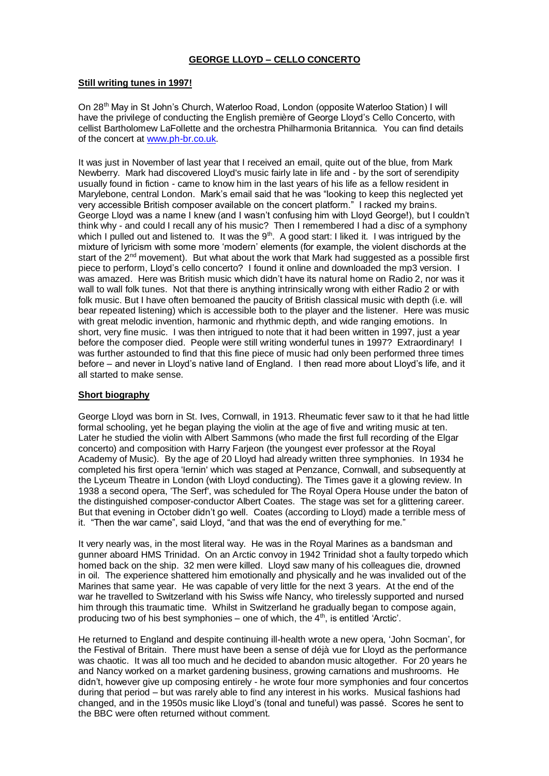# **GEORGE LLOYD – CELLO CONCERTO**

#### **Still writing tunes in 1997!**

On 28th May in St John's Church, Waterloo Road, London (opposite Waterloo Station) I will have the privilege of conducting the English première of George Lloyd's Cello Concerto, with cellist Bartholomew LaFollette and the orchestra Philharmonia Britannica. You can find details of the concert at [www.ph-br.co.uk.](http://www.ph-br.co.uk/)

It was just in November of last year that I received an email, quite out of the blue, from Mark Newberry. Mark had discovered Lloyd's music fairly late in life and - by the sort of serendipity usually found in fiction - came to know him in the last years of his life as a fellow resident in Marylebone, central London. Mark's email said that he was "looking to keep this neglected yet very accessible British composer available on the concert platform." I racked my brains. George Lloyd was a name I knew (and I wasn't confusing him with Lloyd George!), but I couldn't think why - and could I recall any of his music? Then I remembered I had a disc of a symphony which I pulled out and listened to. It was the  $9<sup>th</sup>$ . A good start: I liked it. I was intrigued by the mixture of lyricism with some more 'modern' elements (for example, the violent dischords at the start of the 2<sup>nd</sup> movement). But what about the work that Mark had suggested as a possible first piece to perform, Lloyd's cello concerto? I found it online and downloaded the mp3 version. I was amazed. Here was British music which didn't have its natural home on Radio 2, nor was it wall to wall folk tunes. Not that there is anything intrinsically wrong with either Radio 2 or with folk music. But I have often bemoaned the paucity of British classical music with depth (i.e. will bear repeated listening) which is accessible both to the player and the listener. Here was music with great melodic invention, harmonic and rhythmic depth, and wide ranging emotions. In short, very fine music. I was then intrigued to note that it had been written in 1997, just a year before the composer died. People were still writing wonderful tunes in 1997? Extraordinary! I was further astounded to find that this fine piece of music had only been performed three times before – and never in Lloyd's native land of England. I then read more about Lloyd's life, and it all started to make sense.

# **Short biography**

George Lloyd was born in St. Ives, Cornwall, in 1913. Rheumatic fever saw to it that he had little formal schooling, yet he began playing the violin at the age of five and writing music at ten. Later he studied the violin with Albert Sammons (who made the first full recording of the Elgar concerto) and composition with Harry Farjeon (the youngest ever professor at the Royal Academy of Music). By the age of 20 Lloyd had already written three symphonies. In 1934 he completed his first opera 'Iernin' which was staged at Penzance, Cornwall, and subsequently at the Lyceum Theatre in London (with Lloyd conducting). The Times gave it a glowing review. In 1938 a second opera, 'The Serf', was scheduled for The Royal Opera House under the baton of the distinguished composer-conductor Albert Coates. The stage was set for a glittering career. But that evening in October didn't go well. Coates (according to Lloyd) made a terrible mess of it. "Then the war came", said Lloyd, "and that was the end of everything for me."

It very nearly was, in the most literal way. He was in the Royal Marines as a bandsman and gunner aboard HMS Trinidad. On an Arctic convoy in 1942 Trinidad shot a faulty torpedo which homed back on the ship. 32 men were killed. Lloyd saw many of his colleagues die, drowned in oil. The experience shattered him emotionally and physically and he was invalided out of the Marines that same year. He was capable of very little for the next 3 years. At the end of the war he travelled to Switzerland with his Swiss wife Nancy, who tirelessly supported and nursed him through this traumatic time. Whilst in Switzerland he gradually began to compose again, producing two of his best symphonies – one of which, the  $4<sup>th</sup>$ , is entitled 'Arctic'.

He returned to England and despite continuing ill-health wrote a new opera, 'John Socman', for the Festival of Britain. There must have been a sense of déjà vue for Lloyd as the performance was chaotic. It was all too much and he decided to abandon music altogether. For 20 years he and Nancy worked on a market gardening business, growing carnations and mushrooms. He didn't, however give up composing entirely - he wrote four more symphonies and four concertos during that period – but was rarely able to find any interest in his works. Musical fashions had changed, and in the 1950s music like Lloyd's (tonal and tuneful) was passé. Scores he sent to the BBC were often returned without comment.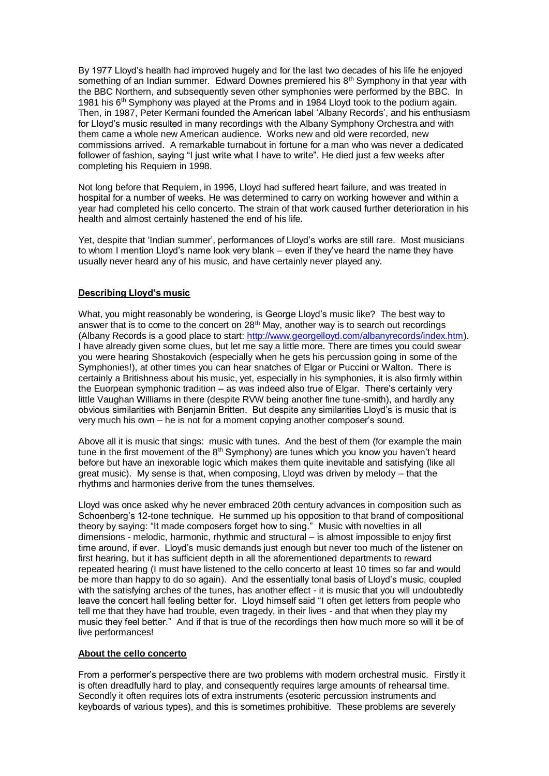By 1977 Lloyd's health had improved hugely and for the last two decades of his life he enjoyed something of an Indian summer. Edward Downes premiered his  $8<sup>th</sup>$  Symphony in that year with the BBC Northern, and subsequently seven other symphonies were performed by the BBC. In 1981 his 6<sup>th</sup> Symphony was played at the Proms and in 1984 Lloyd took to the podium again. Then, in 1987, Peter Kermani founded the American label 'Albany Records', and his enthusiasm for Lloyd's music resulted in many recordings with the Albany Symphony Orchestra and with them came a whole new American audience. Works new and old were recorded, new commissions arrived. A remarkable turnabout in fortune for a man who was never a dedicated follower of fashion, saying "I just write what I have to write". He died just a few weeks after completing his Requiem in 1998.

Not long before that Requiem, in 1996, Lloyd had suffered heart failure, and was treated in hospital for a number of weeks. He was determined to carry on working however and within a year had completed his cello concerto. The strain of that work caused further deterioration in his health and almost certainly hastened the end of his life.

Yet, despite that 'Indian summer', performances of Lloyd's works are still rare. Most musicians to whom I mention Lloyd's name look very blank – even if they've heard the name they have usually never heard any of his music, and have certainly never played any.

# **Describing Lloyd's music**

What, you might reasonably be wondering, is George Lloyd's music like? The best way to answer that is to come to the concert on  $28<sup>th</sup>$  May, another way is to search out recordings (Albany Records is a good place to start: [http://www.georgelloyd.com/albanyrecords/index.htm\)](http://www.georgelloyd.com/albanyrecords/index.htm). I have already given some clues, but let me say a little more. There are times you could swear you were hearing Shostakovich (especially when he gets his percussion going in some of the Symphonies!), at other times you can hear snatches of Elgar or Puccini or Walton. There is certainly a Britishness about his music, yet, especially in his symphonies, it is also firmly within the Euorpean symphonic tradition – as was indeed also true of Elgar. There's certainly very little Vaughan Williams in there (despite RVW being another fine tune-smith), and hardly any obvious similarities with Benjamin Britten. But despite any similarities Lloyd's is music that is very much his own – he is not for a moment copying another composer's sound.

Above all it is music that sings: music with tunes. And the best of them (for example the main tune in the first movement of the  $8<sup>th</sup>$  Symphony) are tunes which you know you haven't heard before but have an inexorable logic which makes them quite inevitable and satisfying (like all great music). My sense is that, when composing, Lloyd was driven by melody – that the rhythms and harmonies derive from the tunes themselves.

Lloyd was once asked why he never embraced 20th century advances in composition such as Schoenberg's 12-tone technique. He summed up his opposition to that brand of compositional theory by saying: "It made composers forget how to sing." Music with novelties in all dimensions - melodic, harmonic, rhythmic and structural – is almost impossible to enjoy first time around, if ever. Lloyd's music demands just enough but never too much of the listener on first hearing, but it has sufficient depth in all the aforementioned departments to reward repeated hearing (I must have listened to the cello concerto at least 10 times so far and would be more than happy to do so again). And the essentially tonal basis of Lloyd's music, coupled with the satisfying arches of the tunes, has another effect - it is music that you will undoubtedly leave the concert hall feeling better for. Lloyd himself said "I often get letters from people who tell me that they have had trouble, even tragedy, in their lives - and that when they play my music they feel better." And if that is true of the recordings then how much more so will it be of live performances!

#### **About the cello concerto**

From a performer's perspective there are two problems with modern orchestral music. Firstly it is often dreadfully hard to play, and consequently requires large amounts of rehearsal time. Secondly it often requires lots of extra instruments (esoteric percussion instruments and keyboards of various types), and this is sometimes prohibitive. These problems are severely